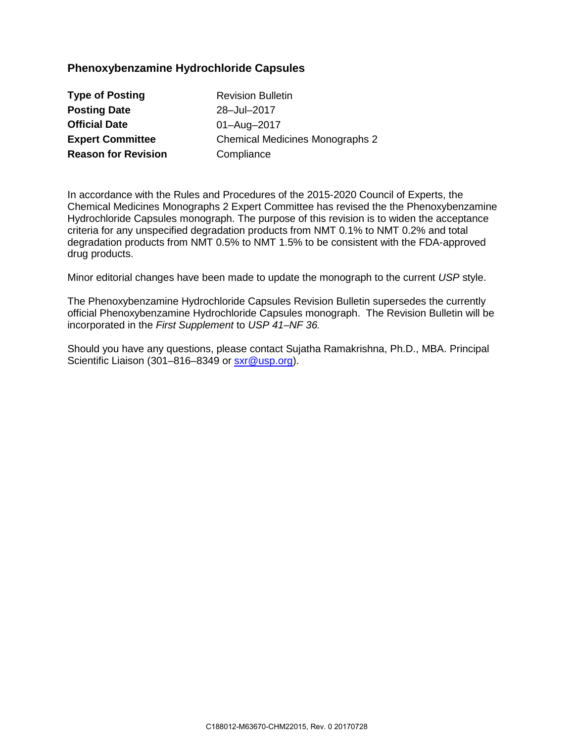## **Phenoxybenzamine Hydrochloride Capsules**

| <b>Type of Posting</b>     |
|----------------------------|
| <b>Posting Date</b>        |
| <b>Official Date</b>       |
| <b>Expert Committee</b>    |
| <b>Reason for Revision</b> |

**Revision Bulletin Posting Date** 28‒Jul–2017 **Official Date** 01–Aug–2017 **Chemical Medicines Monographs 2 Compliance** 

In accordance with the Rules and Procedures of the 2015-2020 Council of Experts, the Chemical Medicines Monographs 2 Expert Committee has revised the the Phenoxybenzamine Hydrochloride Capsules monograph. The purpose of this revision is to widen the acceptance criteria for any unspecified degradation products from NMT 0.1% to NMT 0.2% and total degradation products from NMT 0.5% to NMT 1.5% to be consistent with the FDA-approved drug products.

Minor editorial changes have been made to update the monograph to the current *USP* style.

The Phenoxybenzamine Hydrochloride Capsules Revision Bulletin supersedes the currently official Phenoxybenzamine Hydrochloride Capsules monograph. The Revision Bulletin will be incorporated in the *First Supplement* to *USP 41–NF 36.* 

Should you have any questions, please contact Sujatha Ramakrishna, Ph.D., MBA. Principal Scientific Liaison (301–816–8349 or [sxr@usp.org\)](mailto:sxr@usp.org).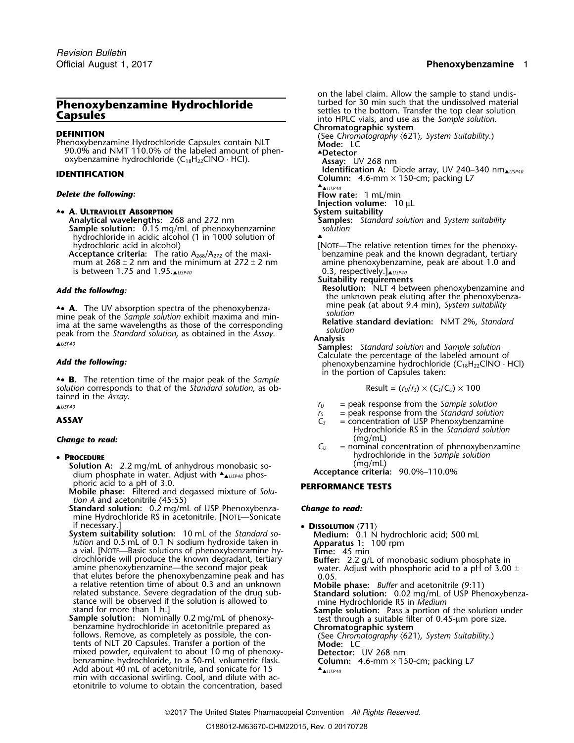## Official August 1, 2017 **Phenoxybenzamine** 1

90.0% and NMT 110.0% of the labeled amount of phen- ▲**.Detector** oxybenzamine hydrochloride (C18H22ClNO · HCl). **Assay:** UV 268 nm

▲**.**• **A. ULTRAVIOLET ABSORPTION System suitability**

**Analytical wavelengths:** 268 and 272 nm **Samples:** *Standard solution* and *System suitability* **Sample solution:** 0.15 mg/mL of phenoxybenzamine *solution* hydrochloride in acidic alcohol (1 in 1000 solution of hydrochloric acid in alcohol)

**Acceptance criteria:** The ratio  $A_{268}/A_{272}$  of the maxi-<br>mum at  $268 \pm 2$  nm and the minimum at  $272 \pm 2$  nm is between 1.75 and 1.95.<sub>▲*USP40*</sub>

**.**• **A.** The UV absorption spectra of the phenoxybenzamine peak of the *Sample solution* exhibit maxima and min-<br>ima at the same wavelengths as those of the corresponding<br>peak from the *Standard solution*, as obtained in the *Assay*.<br>Analysis<br>Analysis Samples: *Standard solu* 

in the portion of Capsules taken: ▲**.**• **B.** The retention time of the major peak of the *Sample solution* corresponds to that of the *Standard solution*, as obtained in the *Assay*.

# **Change to read:**  $C_U$

**Protection A:** 2.2 mg/mL of anhydrous monobasic so-<br>**Protection A:** 2.2 mg/mL of anhydrous monobasic sodium phosphate in water. Adjust with  $\triangle_{\text{LUSPA0}}$  phosphoric acid to a pH of 3.0.

<sup>p</sup>horic acid to a pH of 3.0. **PERFORMANCE TESTS Mobile phase:** Filtered and degassed mixture of *Solution A* and acetonitrile (45:55)

**Standard solution:** 0.2 mg/mL of USP Phenoxybenza- *Change to read:* mine Hydrochloride RS in acetonitrile. [NOTE—Sonicate

amine phenoxybenzamine—the second major peak<br>that elutes before the phenoxybenzamine peak and has  $\frac{2.200 \text{ ft}}{0.05}$ . that elutes before the phenoxybenzamine peak and has a relative retention time of about 0.3 and an unknown

mixed powder, equivalent to about 10 mg of phenoxy- **Detector:** UV 268 nm mixed powder, equivalent to about 10 mg of phenoxy-<br>benzamine hydrochloride, to a 50-mL volumetric flask. **Column:** 4.6-mm × 150-cm; packing L7<br>Add about 40 mL of acetonitrile, and sonicate for 15 **A**. *A. USP40* min with occasional swirling. Cool, and dilute with acetonitrile to volume to obtain the concentration, based

on the label claim. Allow the sample to stand undisturbed for 30 min such that the undissolved material **Thenoxybenzamine Hydrochloride** settles to the bottom. Transfer the top clear solution<br> **Capsules** settles to the bottom. Transfer the top clear solution into HPLC vials, and use as the *Sample solution*.<br> **Chromatographi CHRISTION** (See *Chromatography (621), System Suitability*.) Chromatography *(621)*, *System Suitability*.) Phenoxybenzamine Hydrochloride Capsules contain NLT **Mode:** LC **Identification A:** Diode array, UV 240–340 nm▲*USP40* **IDENTIFICATION Column:** 4.6-mm × 150-cm; packing L7 ▲. ▲*USP40* **Delete the following: Flow rate:** 1 mL/min **Injection volume:** 10 µL<br>System suitability [NOTE—The relative retention times for the phenoxy-<br>benzamine peak and the known degradant, tertiary amine phenoxybenzamine, peak are about 1.0 and 0.3, respectively.] $\Delta_{USPA0}$ **Suitability requirements Add the following: Resolution:** NLT 4 between phenoxybenzamine and **Add the following:** the unknown peak eluting after the phenoxybenza-

mine peak (at about 9.4 min), *System suitability*<br>solution

**Add the following: Add the following: Calculate amount of** *Add the following:* **phenoxybenzamine hydrochloride (C<sub>18</sub>H<sub>22</sub>ClNO · HCl) in the portion of Capsules taken:** 

$$
Result = (r_U/r_S) \times (C_S/C_U) \times 100
$$

- ▲*USP40 <sup>r</sup><sup>U</sup>* = peak response from the *Sample solution*
	- *r*<sub>*S*</sub> = peak response from the *Standard solution*<br>*C*<sub>S</sub> = concentration of USP Phenoxybenzamine
- **ASSAY C**<sub>S</sub> = concentration of USP Phenoxybenzamine Hydrochloride RS in the *Standard solution*
- = nominal concentration of phenoxybenzamine hydrochloride in the *Sample solution* •

▲*USP40* phos- **Acceptance criteria:** 90.0%–110.0%

if necessary.]<br> **System suitability solution:** 10 mL of the *Standard so*<br> *Medium:* 0.1 N hydrochloric acid; 500 mL<br> *lution* and 0.5 mL of 0.1 N sodium hydroxide taken in<br>
a vial. [NOTE—Basic solutions of phenoxybenzamin a relative retention time of about 0.3 and an unknown<br>related substance. Severe degradation of the drug sub-<br>stance will be observed if the solution is allowed to<br>stand for more than 1 h.]<br>stand for more than 1 h.] stand for more than 1 h.]<br> **Sample solution:** Pass a portion of the solution under<br> **Sample solution:** Nominally 0.2 mg/mL of phenoxy-<br>
benzamine hydrochloride in acetonitrile prepared as<br>
follows. Remove, as completely as ▲*USP40*

2017 The United States Pharmacopeial Convention *All Rights Reserved.*